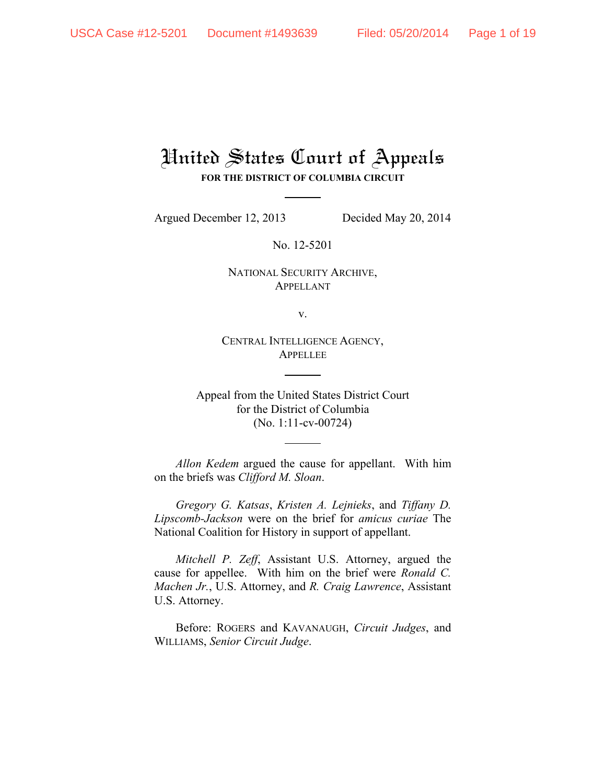## United States Court of Appeals **FOR THE DISTRICT OF COLUMBIA CIRCUIT**

Argued December 12, 2013 Decided May 20, 2014

No. 12-5201

NATIONAL SECURITY ARCHIVE, APPELLANT

v.

CENTRAL INTELLIGENCE AGENCY, APPELLEE

Appeal from the United States District Court for the District of Columbia (No. 1:11-cv-00724)

*Allon Kedem* argued the cause for appellant. With him on the briefs was *Clifford M. Sloan*.

*Gregory G. Katsas*, *Kristen A. Lejnieks*, and *Tiffany D. Lipscomb-Jackson* were on the brief for *amicus curiae* The National Coalition for History in support of appellant.

*Mitchell P. Zeff*, Assistant U.S. Attorney, argued the cause for appellee. With him on the brief were *Ronald C. Machen Jr.*, U.S. Attorney, and *R. Craig Lawrence*, Assistant U.S. Attorney.

Before: ROGERS and KAVANAUGH, *Circuit Judges*, and WILLIAMS, *Senior Circuit Judge*.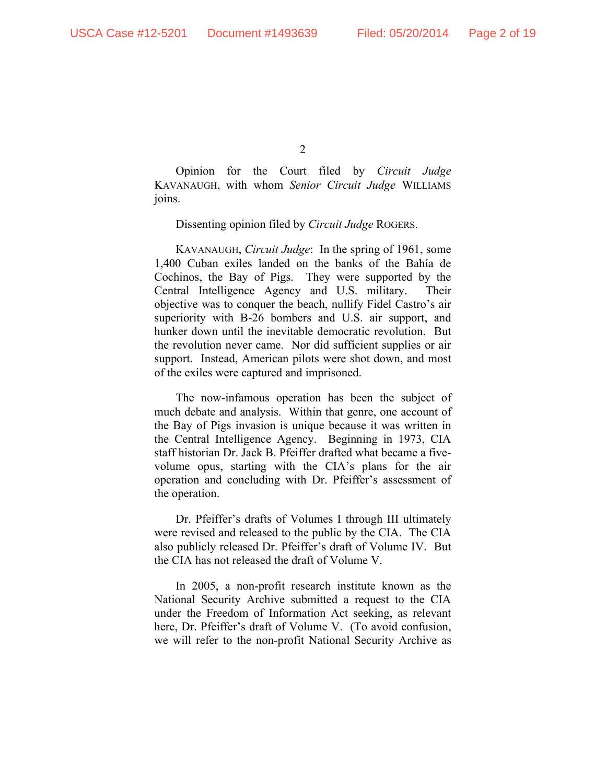Opinion for the Court filed by *Circuit Judge*  KAVANAUGH, with whom *Senior Circuit Judge* WILLIAMS joins.

## Dissenting opinion filed by *Circuit Judge* ROGERS.

KAVANAUGH, *Circuit Judge*: In the spring of 1961, some 1,400 Cuban exiles landed on the banks of the Bahía de Cochinos, the Bay of Pigs. They were supported by the Central Intelligence Agency and U.S. military. Their objective was to conquer the beach, nullify Fidel Castro's air superiority with B-26 bombers and U.S. air support, and hunker down until the inevitable democratic revolution. But the revolution never came. Nor did sufficient supplies or air support. Instead, American pilots were shot down, and most of the exiles were captured and imprisoned.

The now-infamous operation has been the subject of much debate and analysis. Within that genre, one account of the Bay of Pigs invasion is unique because it was written in the Central Intelligence Agency. Beginning in 1973, CIA staff historian Dr. Jack B. Pfeiffer drafted what became a fivevolume opus, starting with the CIA's plans for the air operation and concluding with Dr. Pfeiffer's assessment of the operation.

Dr. Pfeiffer's drafts of Volumes I through III ultimately were revised and released to the public by the CIA. The CIA also publicly released Dr. Pfeiffer's draft of Volume IV. But the CIA has not released the draft of Volume V.

In 2005, a non-profit research institute known as the National Security Archive submitted a request to the CIA under the Freedom of Information Act seeking, as relevant here, Dr. Pfeiffer's draft of Volume V. (To avoid confusion, we will refer to the non-profit National Security Archive as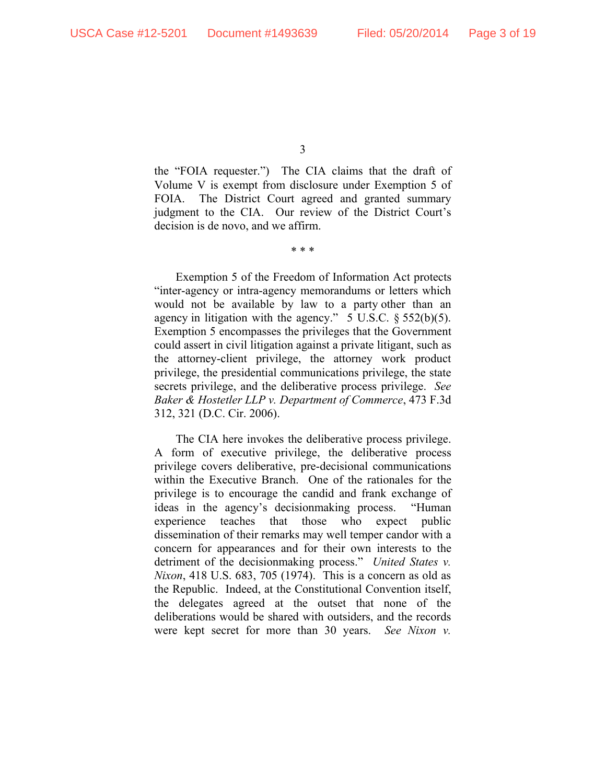the "FOIA requester.") The CIA claims that the draft of Volume V is exempt from disclosure under Exemption 5 of FOIA. The District Court agreed and granted summary judgment to the CIA. Our review of the District Court's decision is de novo, and we affirm.

\* \* \*

Exemption 5 of the Freedom of Information Act protects "inter-agency or intra-agency memorandums or letters which would not be available by law to a party other than an agency in litigation with the agency." 5 U.S.C. § 552(b)(5). Exemption 5 encompasses the privileges that the Government could assert in civil litigation against a private litigant, such as the attorney-client privilege, the attorney work product privilege, the presidential communications privilege, the state secrets privilege, and the deliberative process privilege. *See Baker & Hostetler LLP v. Department of Commerce*, 473 F.3d 312, 321 (D.C. Cir. 2006).

The CIA here invokes the deliberative process privilege. A form of executive privilege, the deliberative process privilege covers deliberative, pre-decisional communications within the Executive Branch. One of the rationales for the privilege is to encourage the candid and frank exchange of ideas in the agency's decisionmaking process. "Human experience teaches that those who expect public dissemination of their remarks may well temper candor with a concern for appearances and for their own interests to the detriment of the decisionmaking process." *United States v. Nixon*, 418 U.S. 683, 705 (1974). This is a concern as old as the Republic. Indeed, at the Constitutional Convention itself, the delegates agreed at the outset that none of the deliberations would be shared with outsiders, and the records were kept secret for more than 30 years. *See Nixon v.*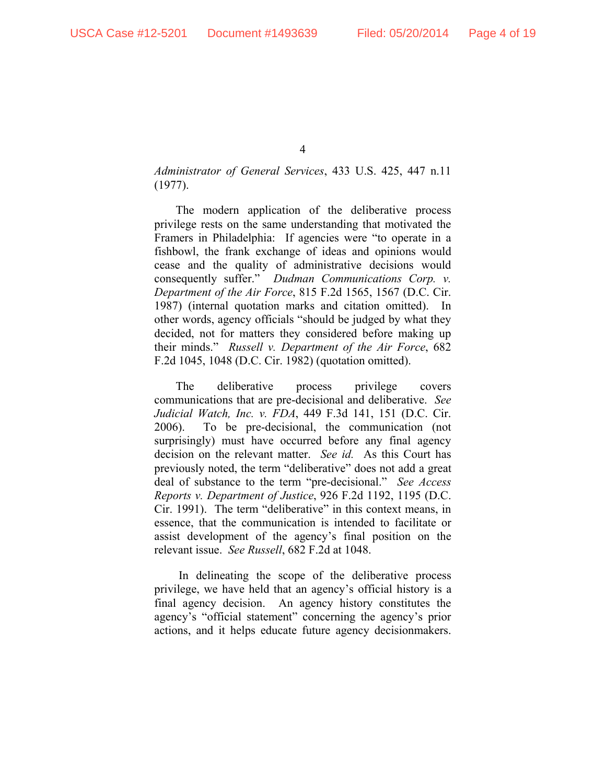*Administrator of General Services*, 433 U.S. 425, 447 n.11 (1977).

The modern application of the deliberative process privilege rests on the same understanding that motivated the Framers in Philadelphia: If agencies were "to operate in a fishbowl, the frank exchange of ideas and opinions would cease and the quality of administrative decisions would consequently suffer." *Dudman Communications Corp. v. Department of the Air Force*, 815 F.2d 1565, 1567 (D.C. Cir. 1987) (internal quotation marks and citation omitted). In other words, agency officials "should be judged by what they decided, not for matters they considered before making up their minds." *Russell v. Department of the Air Force*, 682 F.2d 1045, 1048 (D.C. Cir. 1982) (quotation omitted).

The deliberative process privilege covers communications that are pre-decisional and deliberative. *See Judicial Watch, Inc. v. FDA*, 449 F.3d 141, 151 (D.C. Cir. 2006). To be pre-decisional, the communication (not surprisingly) must have occurred before any final agency decision on the relevant matter. *See id.* As this Court has previously noted, the term "deliberative" does not add a great deal of substance to the term "pre-decisional." *See Access Reports v. Department of Justice*, 926 F.2d 1192, 1195 (D.C. Cir. 1991). The term "deliberative" in this context means, in essence, that the communication is intended to facilitate or assist development of the agency's final position on the relevant issue. *See Russell*, 682 F.2d at 1048.

 In delineating the scope of the deliberative process privilege, we have held that an agency's official history is a final agency decision. An agency history constitutes the agency's "official statement" concerning the agency's prior actions, and it helps educate future agency decisionmakers.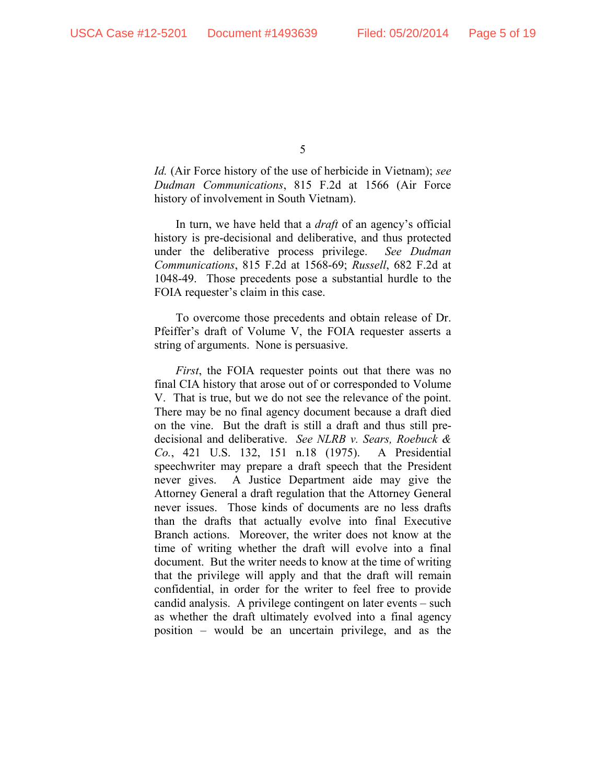*Id.* (Air Force history of the use of herbicide in Vietnam); *see Dudman Communications*, 815 F.2d at 1566 (Air Force history of involvement in South Vietnam).

In turn, we have held that a *draft* of an agency's official history is pre-decisional and deliberative, and thus protected under the deliberative process privilege. *See Dudman Communications*, 815 F.2d at 1568-69; *Russell*, 682 F.2d at 1048-49. Those precedents pose a substantial hurdle to the FOIA requester's claim in this case.

To overcome those precedents and obtain release of Dr. Pfeiffer's draft of Volume V, the FOIA requester asserts a string of arguments. None is persuasive.

*First*, the FOIA requester points out that there was no final CIA history that arose out of or corresponded to Volume V. That is true, but we do not see the relevance of the point. There may be no final agency document because a draft died on the vine. But the draft is still a draft and thus still predecisional and deliberative. *See NLRB v. Sears, Roebuck & Co.*, 421 U.S. 132, 151 n.18 (1975). A Presidential speechwriter may prepare a draft speech that the President never gives. A Justice Department aide may give the Attorney General a draft regulation that the Attorney General never issues. Those kinds of documents are no less drafts than the drafts that actually evolve into final Executive Branch actions. Moreover, the writer does not know at the time of writing whether the draft will evolve into a final document. But the writer needs to know at the time of writing that the privilege will apply and that the draft will remain confidential, in order for the writer to feel free to provide candid analysis. A privilege contingent on later events – such as whether the draft ultimately evolved into a final agency position – would be an uncertain privilege, and as the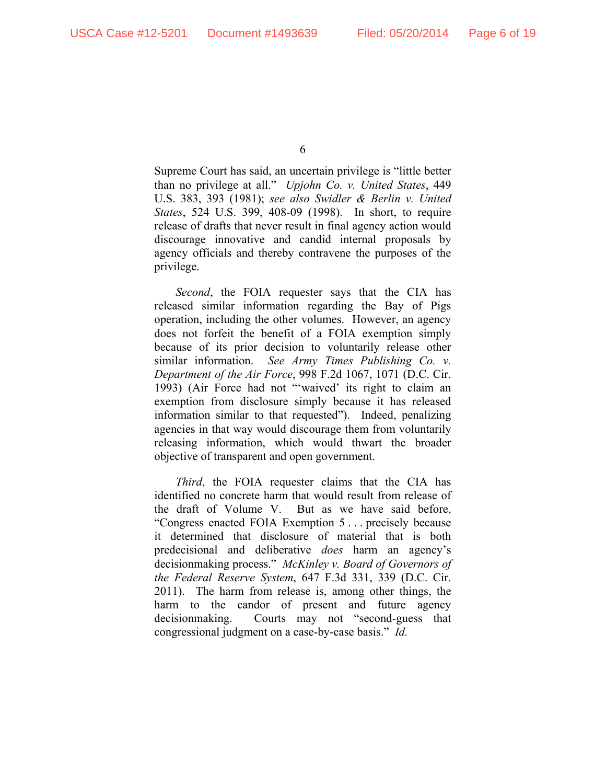Supreme Court has said, an uncertain privilege is "little better than no privilege at all." *Upjohn Co. v. United States*, 449 U.S. 383, 393 (1981); *see also Swidler & Berlin v. United States*, 524 U.S. 399, 408-09 (1998). In short, to require release of drafts that never result in final agency action would discourage innovative and candid internal proposals by agency officials and thereby contravene the purposes of the privilege.

*Second*, the FOIA requester says that the CIA has released similar information regarding the Bay of Pigs operation, including the other volumes. However, an agency does not forfeit the benefit of a FOIA exemption simply because of its prior decision to voluntarily release other similar information. *See Army Times Publishing Co. v. Department of the Air Force*, 998 F.2d 1067, 1071 (D.C. Cir. 1993) (Air Force had not "'waived' its right to claim an exemption from disclosure simply because it has released information similar to that requested"). Indeed, penalizing agencies in that way would discourage them from voluntarily releasing information, which would thwart the broader objective of transparent and open government.

*Third*, the FOIA requester claims that the CIA has identified no concrete harm that would result from release of the draft of Volume V. But as we have said before, "Congress enacted FOIA Exemption 5 . . . precisely because it determined that disclosure of material that is both predecisional and deliberative *does* harm an agency's decisionmaking process." *McKinley v. Board of Governors of the Federal Reserve System*, 647 F.3d 331, 339 (D.C. Cir. 2011).The harm from release is, among other things, the harm to the candor of present and future agency decisionmaking. Courts may not "second-guess that congressional judgment on a case-by-case basis." *Id.*

<sup>6</sup>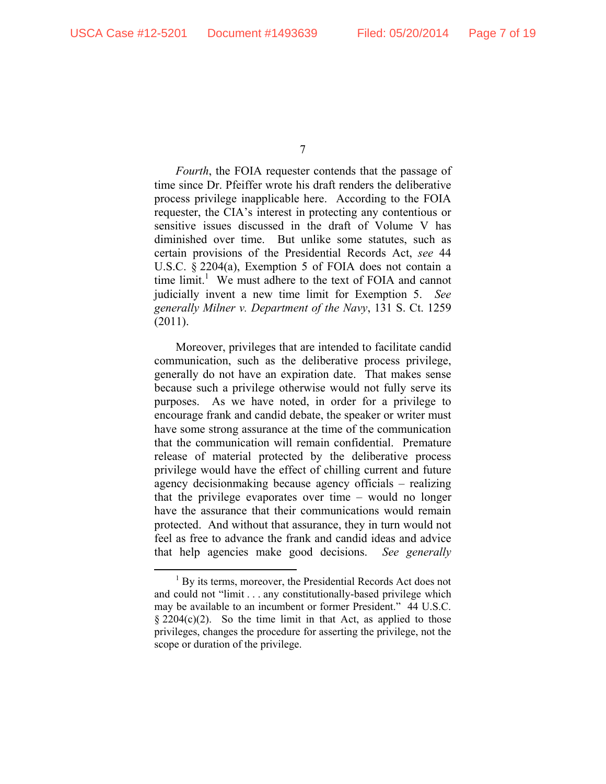*Fourth*, the FOIA requester contends that the passage of time since Dr. Pfeiffer wrote his draft renders the deliberative process privilege inapplicable here. According to the FOIA requester, the CIA's interest in protecting any contentious or sensitive issues discussed in the draft of Volume V has diminished over time. But unlike some statutes, such as certain provisions of the Presidential Records Act, *see* 44 U.S.C. § 2204(a), Exemption 5 of FOIA does not contain a time  $\lim_{h \to 0}$  We must adhere to the text of FOIA and cannot judicially invent a new time limit for Exemption 5. *See generally Milner v. Department of the Navy*, 131 S. Ct. 1259 (2011).

Moreover, privileges that are intended to facilitate candid communication, such as the deliberative process privilege, generally do not have an expiration date. That makes sense because such a privilege otherwise would not fully serve its purposes. As we have noted, in order for a privilege to encourage frank and candid debate, the speaker or writer must have some strong assurance at the time of the communication that the communication will remain confidential. Premature release of material protected by the deliberative process privilege would have the effect of chilling current and future agency decisionmaking because agency officials – realizing that the privilege evaporates over time – would no longer have the assurance that their communications would remain protected. And without that assurance, they in turn would not feel as free to advance the frank and candid ideas and advice that help agencies make good decisions. *See generally* 

<sup>7</sup> 

 <sup>1</sup>  $<sup>1</sup>$  By its terms, moreover, the Presidential Records Act does not</sup> and could not "limit . . . any constitutionally-based privilege which may be available to an incumbent or former President." 44 U.S.C.  $\S 2204(c)(2)$ . So the time limit in that Act, as applied to those privileges, changes the procedure for asserting the privilege, not the scope or duration of the privilege.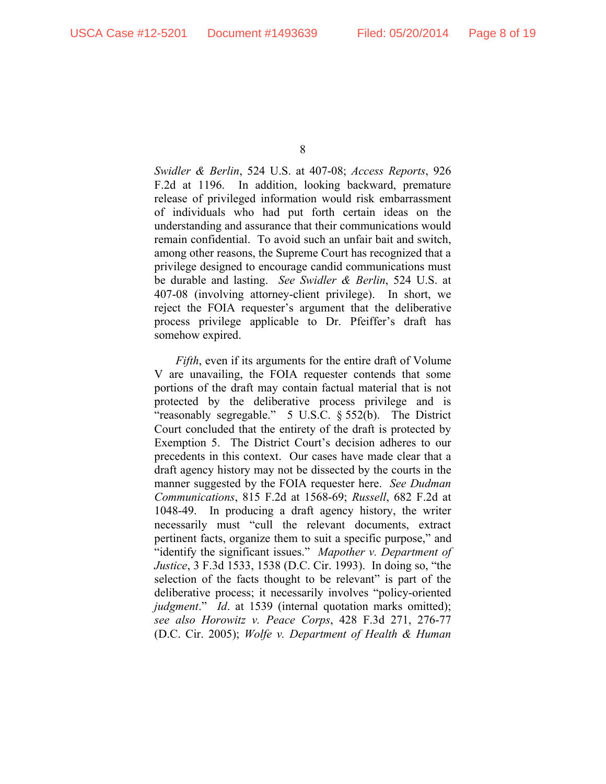*Swidler & Berlin*, 524 U.S. at 407-08; *Access Reports*, 926 F.2d at 1196. In addition, looking backward, premature release of privileged information would risk embarrassment of individuals who had put forth certain ideas on the understanding and assurance that their communications would remain confidential. To avoid such an unfair bait and switch, among other reasons, the Supreme Court has recognized that a privilege designed to encourage candid communications must be durable and lasting. *See Swidler & Berlin*, 524 U.S. at 407-08 (involving attorney-client privilege). In short, we reject the FOIA requester's argument that the deliberative process privilege applicable to Dr. Pfeiffer's draft has somehow expired.

*Fifth*, even if its arguments for the entire draft of Volume V are unavailing, the FOIA requester contends that some portions of the draft may contain factual material that is not protected by the deliberative process privilege and is "reasonably segregable." 5 U.S.C. § 552(b). The District Court concluded that the entirety of the draft is protected by Exemption 5. The District Court's decision adheres to our precedents in this context. Our cases have made clear that a draft agency history may not be dissected by the courts in the manner suggested by the FOIA requester here. *See Dudman Communications*, 815 F.2d at 1568-69; *Russell*, 682 F.2d at 1048-49. In producing a draft agency history, the writer necessarily must "cull the relevant documents, extract pertinent facts, organize them to suit a specific purpose," and "identify the significant issues." *Mapother v. Department of Justice*, 3 F.3d 1533, 1538 (D.C. Cir. 1993). In doing so, "the selection of the facts thought to be relevant" is part of the deliberative process; it necessarily involves "policy-oriented *judgment.*" *Id.* at 1539 (internal quotation marks omitted); *see also Horowitz v. Peace Corps*, 428 F.3d 271, 276-77 (D.C. Cir. 2005); *Wolfe v. Department of Health & Human* 

<sup>8</sup>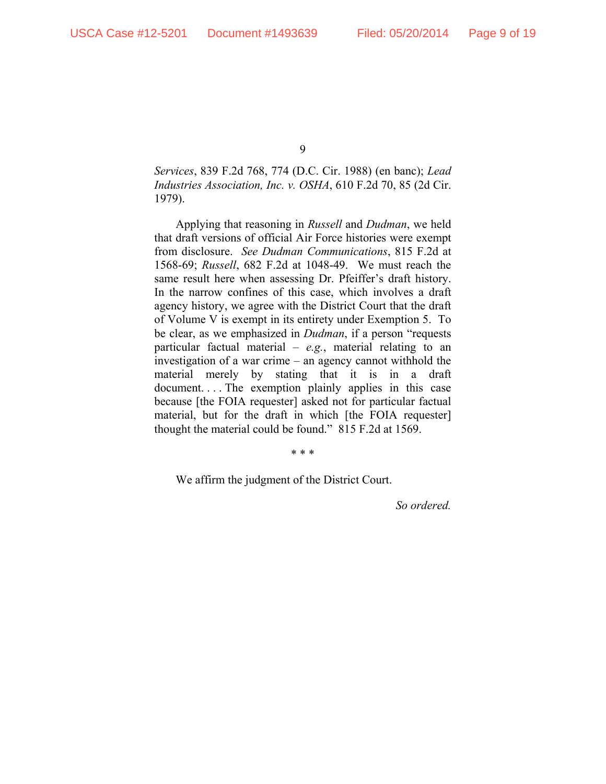*Services*, 839 F.2d 768, 774 (D.C. Cir. 1988) (en banc); *Lead Industries Association, Inc. v. OSHA*, 610 F.2d 70, 85 (2d Cir. 1979).

Applying that reasoning in *Russell* and *Dudman*, we held that draft versions of official Air Force histories were exempt from disclosure. *See Dudman Communications*, 815 F.2d at 1568-69; *Russell*, 682 F.2d at 1048-49. We must reach the same result here when assessing Dr. Pfeiffer's draft history. In the narrow confines of this case, which involves a draft agency history, we agree with the District Court that the draft of Volume V is exempt in its entirety under Exemption 5. To be clear, as we emphasized in *Dudman*, if a person "requests particular factual material – *e.g.*, material relating to an investigation of a war crime – an agency cannot withhold the material merely by stating that it is in a draft document.... The exemption plainly applies in this case because [the FOIA requester] asked not for particular factual material, but for the draft in which [the FOIA requester] thought the material could be found." 815 F.2d at 1569.

\* \* \*

We affirm the judgment of the District Court.

*So ordered.*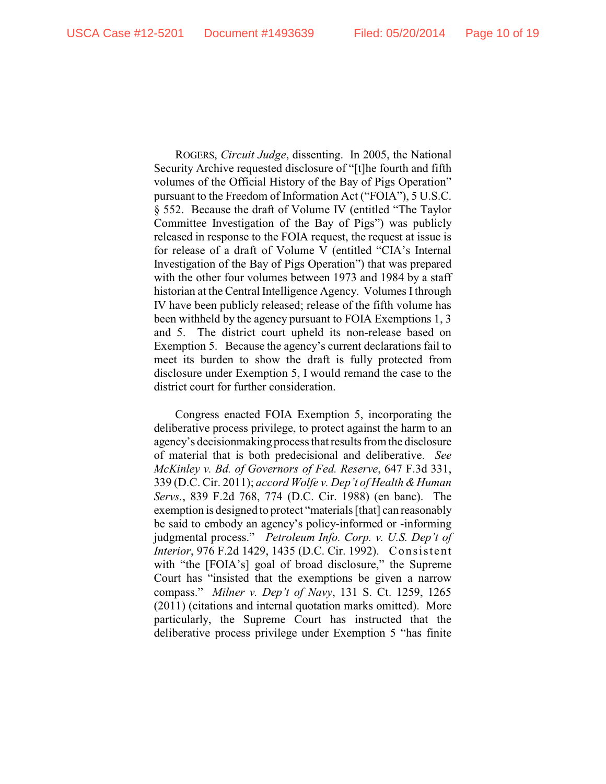ROGERS, *Circuit Judge*, dissenting. In 2005, the National Security Archive requested disclosure of "[t]he fourth and fifth volumes of the Official History of the Bay of Pigs Operation" pursuant to the Freedom of Information Act ("FOIA"), 5 U.S.C. § 552. Because the draft of Volume IV (entitled "The Taylor Committee Investigation of the Bay of Pigs") was publicly released in response to the FOIA request, the request at issue is for release of a draft of Volume V (entitled "CIA's Internal Investigation of the Bay of Pigs Operation") that was prepared with the other four volumes between 1973 and 1984 by a staff historian at the Central Intelligence Agency. Volumes I through IV have been publicly released; release of the fifth volume has been withheld by the agency pursuant to FOIA Exemptions 1, 3 and 5. The district court upheld its non-release based on Exemption 5. Because the agency's current declarations fail to meet its burden to show the draft is fully protected from disclosure under Exemption 5, I would remand the case to the district court for further consideration.

Congress enacted FOIA Exemption 5, incorporating the deliberative process privilege, to protect against the harm to an agency's decisionmaking process that results from the disclosure of material that is both predecisional and deliberative. *See McKinley v. Bd. of Governors of Fed. Reserve*, 647 F.3d 331, 339 (D.C. Cir. 2011); *accord Wolfe v. Dep't of Health &Human Servs.*, 839 F.2d 768, 774 (D.C. Cir. 1988) (en banc). The exemption is designed to protect "materials [that] can reasonably be said to embody an agency's policy-informed or -informing judgmental process." *Petroleum Info. Corp. v. U.S. Dep't of Interior*, 976 F.2d 1429, 1435 (D.C. Cir. 1992). Consistent with "the [FOIA's] goal of broad disclosure," the Supreme Court has "insisted that the exemptions be given a narrow compass." *Milner v. Dep't of Navy*, 131 S. Ct. 1259, 1265 (2011) (citations and internal quotation marks omitted). More particularly, the Supreme Court has instructed that the deliberative process privilege under Exemption 5 "has finite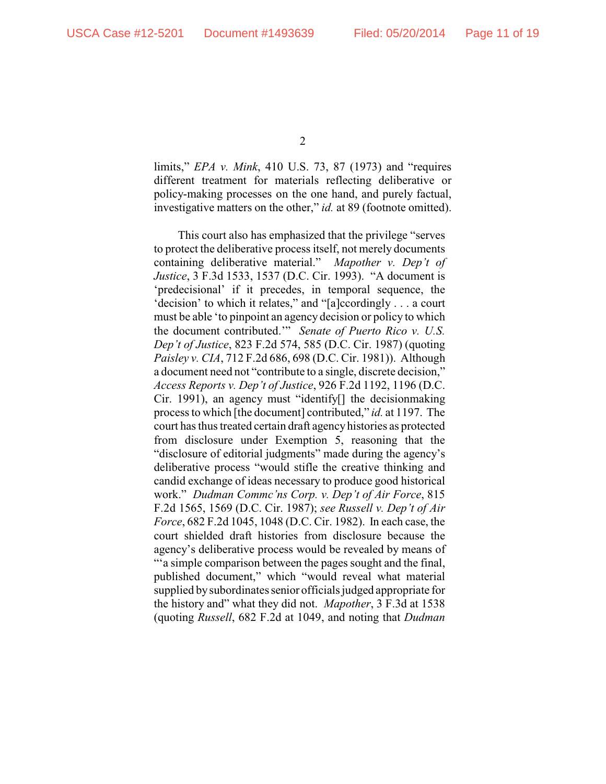limits," *EPA v. Mink*, 410 U.S. 73, 87 (1973) and "requires different treatment for materials reflecting deliberative or policy-making processes on the one hand, and purely factual, investigative matters on the other," *id.* at 89 (footnote omitted).

This court also has emphasized that the privilege "serves to protect the deliberative process itself, not merely documents containing deliberative material." *Mapother v. Dep't of Justice*, 3 F.3d 1533, 1537 (D.C. Cir. 1993). "A document is 'predecisional' if it precedes, in temporal sequence, the 'decision' to which it relates," and "[a]ccordingly . . . a court must be able 'to pinpoint an agency decision or policy to which the document contributed.'" *Senate of Puerto Rico v. U.S. Dep't of Justice*, 823 F.2d 574, 585 (D.C. Cir. 1987) (quoting *Paisley v. CIA*, 712 F.2d 686, 698 (D.C. Cir. 1981)). Although a document need not "contribute to a single, discrete decision," *Access Reports v. Dep't of Justice*, 926 F.2d 1192, 1196 (D.C. Cir. 1991), an agency must "identify[] the decisionmaking process to which [the document] contributed," *id.* at 1197. The court has thus treated certain draft agencyhistories as protected from disclosure under Exemption 5, reasoning that the "disclosure of editorial judgments" made during the agency's deliberative process "would stifle the creative thinking and candid exchange of ideas necessary to produce good historical work." *Dudman Commc'ns Corp. v. Dep't of Air Force*, 815 F.2d 1565, 1569 (D.C. Cir. 1987); *see Russell v. Dep't of Air Force*, 682 F.2d 1045, 1048 (D.C. Cir. 1982). In each case, the court shielded draft histories from disclosure because the agency's deliberative process would be revealed by means of "'a simple comparison between the pages sought and the final, published document," which "would reveal what material supplied bysubordinates senior officials judged appropriate for the history and" what they did not. *Mapother*, 3 F.3d at 1538 (quoting *Russell*, 682 F.2d at 1049, and noting that *Dudman*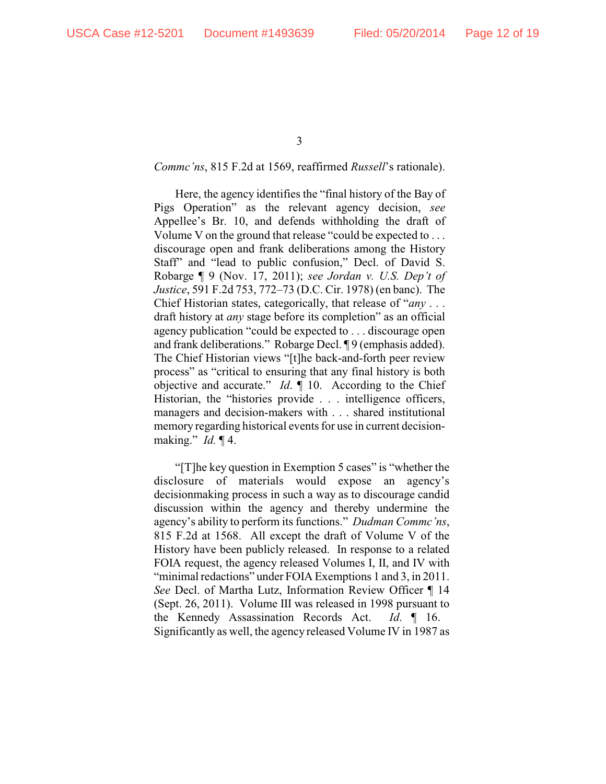## *Commc'ns*, 815 F.2d at 1569, reaffirmed *Russell*'s rationale).

Here, the agency identifies the "final history of the Bay of Pigs Operation" as the relevant agency decision, *see* Appellee's Br. 10, and defends withholding the draft of Volume V on the ground that release "could be expected to . . . discourage open and frank deliberations among the History Staff" and "lead to public confusion," Decl. of David S. Robarge ¶ 9 (Nov. 17, 2011); *see Jordan v. U.S. Dep't of Justice*, 591 F.2d 753, 772–73 (D.C. Cir. 1978) (en banc). The Chief Historian states, categorically, that release of "*any* . . . draft history at *any* stage before its completion" as an official agency publication "could be expected to . . . discourage open and frank deliberations." Robarge Decl. ¶ 9 (emphasis added). The Chief Historian views "[t]he back-and-forth peer review process" as "critical to ensuring that any final history is both objective and accurate." *Id*. ¶ 10. According to the Chief Historian, the "histories provide . . . intelligence officers, managers and decision-makers with . . . shared institutional memory regarding historical events for use in current decisionmaking." *Id.* ¶ 4.

"[T]he key question in Exemption 5 cases" is "whether the disclosure of materials would expose an agency's decisionmaking process in such a way as to discourage candid discussion within the agency and thereby undermine the agency's ability to perform its functions." *Dudman Commc'ns*, 815 F.2d at 1568. All except the draft of Volume V of the History have been publicly released. In response to a related FOIA request, the agency released Volumes I, II, and IV with "minimal redactions" under FOIA Exemptions 1 and 3, in 2011. *See* Decl. of Martha Lutz, Information Review Officer ¶ 14 (Sept. 26, 2011). Volume III was released in 1998 pursuant to the Kennedy Assassination Records Act. *Id*. ¶ 16. Significantly as well, the agency released Volume IV in 1987 as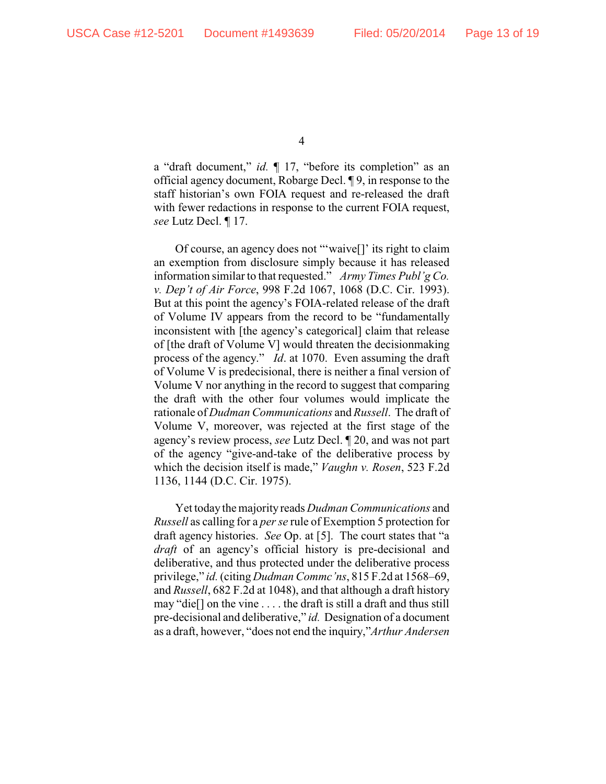a "draft document," *id.* ¶ 17, "before its completion" as an official agency document, Robarge Decl. ¶ 9, in response to the staff historian's own FOIA request and re-released the draft with fewer redactions in response to the current FOIA request, *see* Lutz Decl. ¶ 17.

Of course, an agency does not "'waive[]' its right to claim an exemption from disclosure simply because it has released information similar to that requested." *Army Times Publ'g Co. v. Dep't of Air Force*, 998 F.2d 1067, 1068 (D.C. Cir. 1993). But at this point the agency's FOIA-related release of the draft of Volume IV appears from the record to be "fundamentally inconsistent with [the agency's categorical] claim that release of [the draft of Volume V] would threaten the decisionmaking process of the agency." *Id*. at 1070. Even assuming the draft of Volume V is predecisional, there is neither a final version of Volume V nor anything in the record to suggest that comparing the draft with the other four volumes would implicate the rationale of *Dudman Communications* and *Russell*. The draft of Volume V, moreover, was rejected at the first stage of the agency's review process, *see* Lutz Decl. ¶ 20, and was not part of the agency "give-and-take of the deliberative process by which the decision itself is made," *Vaughn v. Rosen*, 523 F.2d 1136, 1144 (D.C. Cir. 1975).

Yet today the majority reads *Dudman Communications* and *Russell* as calling for a *per se* rule of Exemption 5 protection for draft agency histories. *See* Op. at [5]. The court states that "a *draft* of an agency's official history is pre-decisional and deliberative, and thus protected under the deliberative process privilege," *id.*(citing *Dudman Commc'ns*, 815 F.2d at 1568–69, and *Russell*, 682 F.2d at 1048), and that although a draft history may "die[] on the vine . . . . the draft is still a draft and thus still pre-decisional and deliberative," *id.* Designation of a document as a draft, however, "does not end the inquiry,"*Arthur Andersen*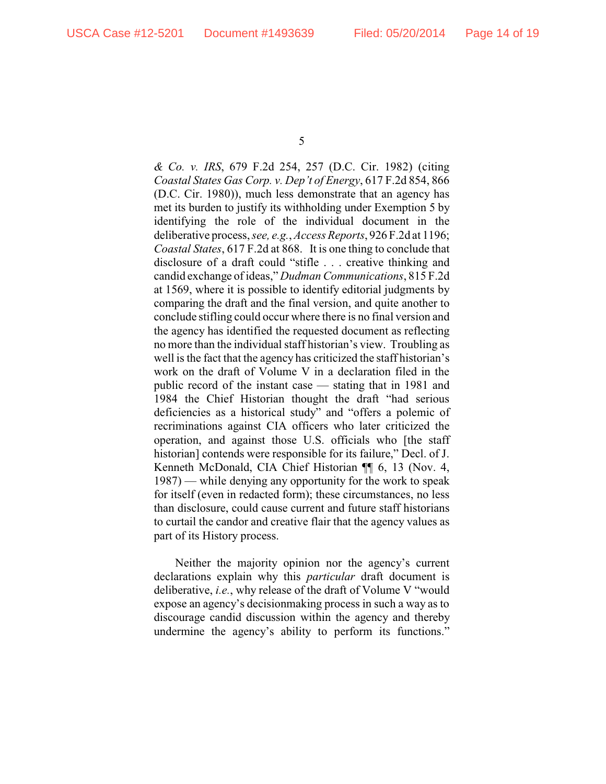*& Co. v. IRS*, 679 F.2d 254, 257 (D.C. Cir. 1982) (citing *Coastal States Gas Corp. v. Dep't of Energy*, 617 F.2d 854, 866 (D.C. Cir. 1980)), much less demonstrate that an agency has met its burden to justify its withholding under Exemption 5 by identifying the role of the individual document in the deliberative process, *see, e.g.*, *Access Reports*, 926 F.2d at 1196; *Coastal States*, 617 F.2d at 868. It is one thing to conclude that disclosure of a draft could "stifle . . . creative thinking and candid exchange of ideas," *Dudman Communications*, 815 F.2d at 1569, where it is possible to identify editorial judgments by comparing the draft and the final version, and quite another to conclude stifling could occur where there is no final version and the agency has identified the requested document as reflecting no more than the individual staff historian's view. Troubling as well is the fact that the agency has criticized the staff historian's work on the draft of Volume V in a declaration filed in the public record of the instant case — stating that in 1981 and 1984 the Chief Historian thought the draft "had serious deficiencies as a historical study" and "offers a polemic of recriminations against CIA officers who later criticized the operation, and against those U.S. officials who [the staff historian] contends were responsible for its failure," Decl. of J. Kenneth McDonald, CIA Chief Historian ¶¶ 6, 13 (Nov. 4, 1987) — while denying any opportunity for the work to speak for itself (even in redacted form); these circumstances, no less than disclosure, could cause current and future staff historians to curtail the candor and creative flair that the agency values as part of its History process.

Neither the majority opinion nor the agency's current declarations explain why this *particular* draft document is deliberative, *i.e.*, why release of the draft of Volume V "would expose an agency's decisionmaking process in such a way as to discourage candid discussion within the agency and thereby undermine the agency's ability to perform its functions."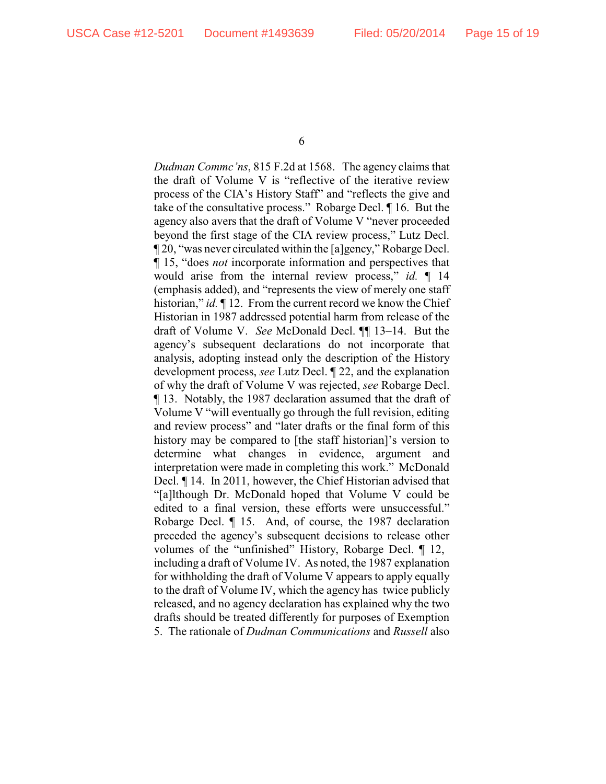*Dudman Commc'ns*, 815 F.2d at 1568. The agency claims that the draft of Volume V is "reflective of the iterative review process of the CIA's History Staff" and "reflects the give and take of the consultative process." Robarge Decl. ¶ 16. But the agency also avers that the draft of Volume V "never proceeded beyond the first stage of the CIA review process," Lutz Decl. ¶ 20, "was never circulated within the [a]gency," Robarge Decl. ¶ 15, "does *not* incorporate information and perspectives that would arise from the internal review process," *id.* ¶ 14 (emphasis added), and "represents the view of merely one staff historian," *id.* 12. From the current record we know the Chief Historian in 1987 addressed potential harm from release of the draft of Volume V. *See* McDonald Decl. ¶¶ 13–14. But the agency's subsequent declarations do not incorporate that analysis, adopting instead only the description of the History development process, *see* Lutz Decl. ¶ 22, and the explanation of why the draft of Volume V was rejected, *see* Robarge Decl. ¶ 13. Notably, the 1987 declaration assumed that the draft of Volume V "will eventually go through the full revision, editing and review process" and "later drafts or the final form of this history may be compared to [the staff historian]'s version to determine what changes in evidence, argument and interpretation were made in completing this work." McDonald Decl. ¶ 14. In 2011, however, the Chief Historian advised that "[a]lthough Dr. McDonald hoped that Volume V could be edited to a final version, these efforts were unsuccessful." Robarge Decl. ¶ 15. And, of course, the 1987 declaration preceded the agency's subsequent decisions to release other volumes of the "unfinished" History, Robarge Decl. ¶ 12, including a draft of Volume IV. As noted, the 1987 explanation for withholding the draft of Volume V appears to apply equally to the draft of Volume IV, which the agency has twice publicly released, and no agency declaration has explained why the two drafts should be treated differently for purposes of Exemption 5. The rationale of *Dudman Communications* and *Russell* also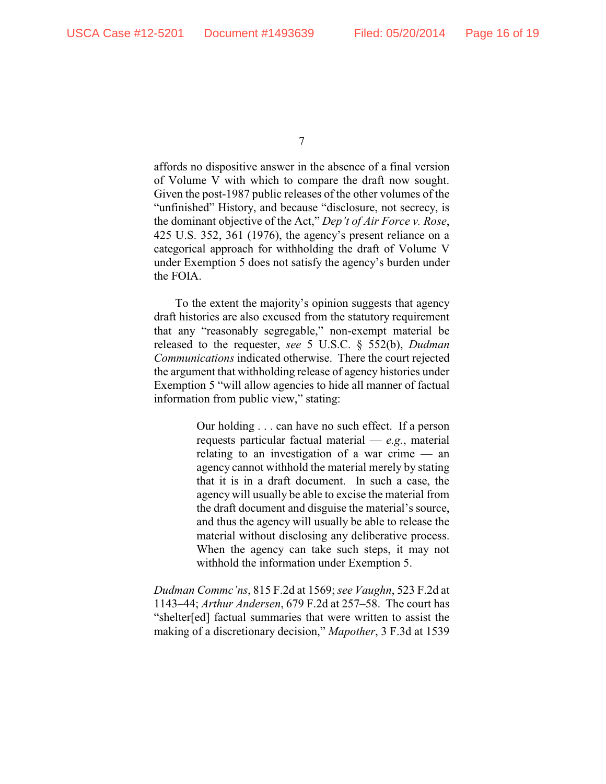affords no dispositive answer in the absence of a final version of Volume V with which to compare the draft now sought. Given the post-1987 public releases of the other volumes of the "unfinished" History, and because "disclosure, not secrecy, is the dominant objective of the Act," *Dep't of Air Force v. Rose*, 425 U.S. 352, 361 (1976), the agency's present reliance on a categorical approach for withholding the draft of Volume V under Exemption 5 does not satisfy the agency's burden under the FOIA.

To the extent the majority's opinion suggests that agency draft histories are also excused from the statutory requirement that any "reasonably segregable," non-exempt material be released to the requester, *see* 5 U.S.C. § 552(b), *Dudman Communications* indicated otherwise. There the court rejected the argument that withholding release of agency histories under Exemption 5 "will allow agencies to hide all manner of factual information from public view," stating:

> Our holding . . . can have no such effect. If a person requests particular factual material — *e.g.*, material relating to an investigation of a war crime — an agency cannot withhold the material merely by stating that it is in a draft document. In such a case, the agency will usually be able to excise the material from the draft document and disguise the material's source, and thus the agency will usually be able to release the material without disclosing any deliberative process. When the agency can take such steps, it may not withhold the information under Exemption 5.

*Dudman Commc'ns*, 815 F.2d at 1569; *see Vaughn*, 523 F.2d at 1143–44; *Arthur Andersen*, 679 F.2d at 257–58. The court has "shelter[ed] factual summaries that were written to assist the making of a discretionary decision," *Mapother*, 3 F.3d at 1539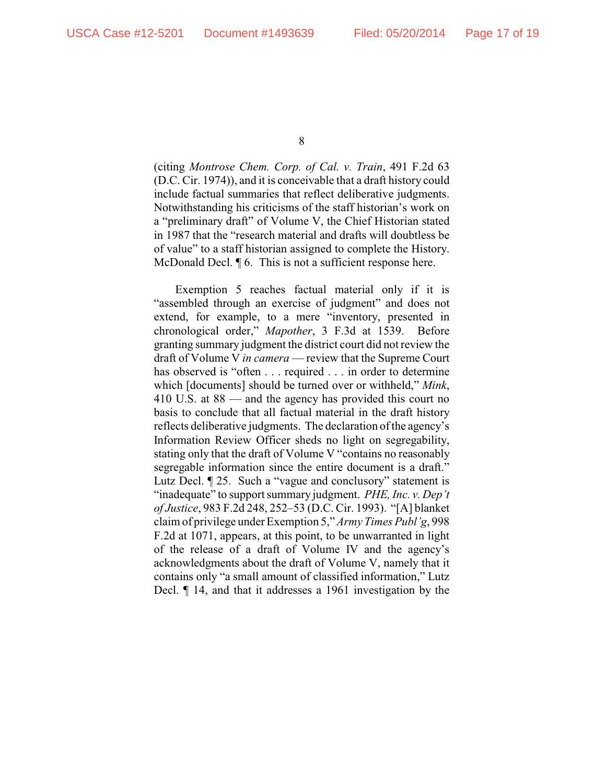(citing *Montrose Chem. Corp. of Cal. v. Train*, 491 F.2d 63 (D.C. Cir. 1974)), and it is conceivable that a draft history could include factual summaries that reflect deliberative judgments. Notwithstanding his criticisms of the staff historian's work on a "preliminary draft" of Volume V, the Chief Historian stated in 1987 that the "research material and drafts will doubtless be of value" to a staff historian assigned to complete the History. McDonald Decl. ¶ 6. This is not a sufficient response here.

Exemption 5 reaches factual material only if it is "assembled through an exercise of judgment" and does not extend, for example, to a mere "inventory, presented in chronological order," *Mapother*, 3 F.3d at 1539. Before granting summary judgment the district court did not review the draft of Volume V *in camera* — review that the Supreme Court has observed is "often . . . required . . . in order to determine which [documents] should be turned over or withheld," *Mink*, 410 U.S. at 88 — and the agency has provided this court no basis to conclude that all factual material in the draft history reflects deliberative judgments. The declaration of the agency's Information Review Officer sheds no light on segregability, stating only that the draft of Volume V "contains no reasonably segregable information since the entire document is a draft." Lutz Decl. ¶ 25. Such a "vague and conclusory" statement is "inadequate" to support summary judgment. *PHE, Inc. v. Dep't of Justice*, 983 F.2d 248, 252–53 (D.C. Cir. 1993). "[A] blanket claim of privilege under Exemption 5," *Army Times Publ'g*, 998 F.2d at 1071, appears, at this point, to be unwarranted in light of the release of a draft of Volume IV and the agency's acknowledgments about the draft of Volume V, namely that it contains only "a small amount of classified information," Lutz Decl. ¶ 14, and that it addresses a 1961 investigation by the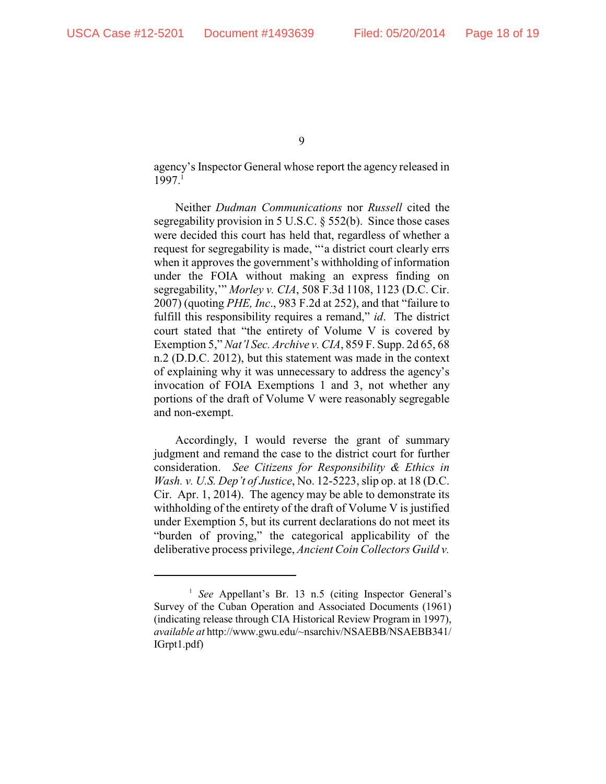agency's Inspector General whose report the agency released in 1997.1

Neither *Dudman Communications* nor *Russell* cited the segregability provision in 5 U.S.C. § 552(b). Since those cases were decided this court has held that, regardless of whether a request for segregability is made, "'a district court clearly errs when it approves the government's withholding of information under the FOIA without making an express finding on segregability,'" *Morley v. CIA*, 508 F.3d 1108, 1123 (D.C. Cir. 2007) (quoting *PHE, Inc*., 983 F.2d at 252), and that "failure to fulfill this responsibility requires a remand," *id*. The district court stated that "the entirety of Volume V is covered by Exemption 5," *Nat'l Sec. Archive v. CIA*, 859 F. Supp. 2d 65, 68 n.2 (D.D.C. 2012), but this statement was made in the context of explaining why it was unnecessary to address the agency's invocation of FOIA Exemptions 1 and 3, not whether any portions of the draft of Volume V were reasonably segregable and non-exempt.

Accordingly, I would reverse the grant of summary judgment and remand the case to the district court for further consideration. *See Citizens for Responsibility & Ethics in Wash. v. U.S. Dep't of Justice*, No. 12-5223, slip op. at 18 (D.C. Cir. Apr. 1, 2014). The agency may be able to demonstrate its withholding of the entirety of the draft of Volume V is justified under Exemption 5, but its current declarations do not meet its "burden of proving," the categorical applicability of the deliberative process privilege, *Ancient Coin Collectors Guild v.*

<sup>&</sup>lt;sup>1</sup> See Appellant's Br. 13 n.5 (citing Inspector General's Survey of the Cuban Operation and Associated Documents (1961) (indicating release through CIA Historical Review Program in 1997), *available at* http://www.gwu.edu/~nsarchiv/NSAEBB/NSAEBB341/ IGrpt1.pdf)